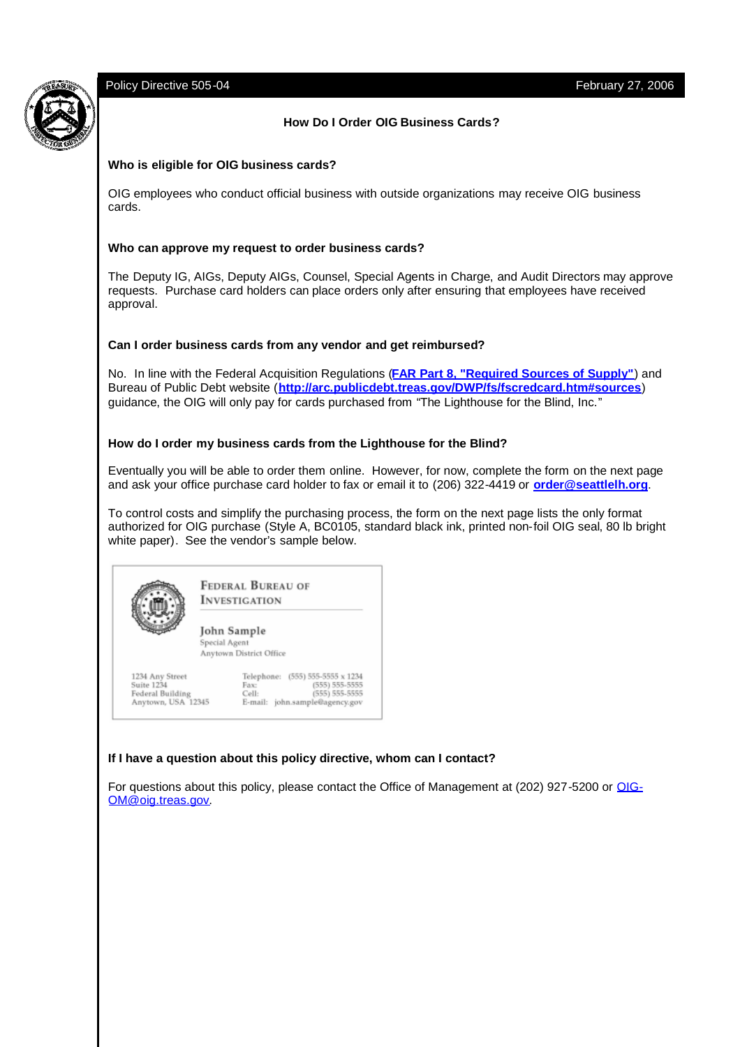## Policy Directive 505-04 February 27, 2006

## **How Do I Order OIG Business Cards?**

### **Who is eligible for OIG business cards?**

OIG employees who conduct official business with outside organizations may receive OIG business cards.

#### **Who can approve my request to order business cards?**

The Deputy IG, AIGs, Deputy AIGs, Counsel, Special Agents in Charge, and Audit Directors may approve requests. Purchase card holders can place orders only after ensuring that employees have received approval.

#### **Can I order business cards from any vendor and get reimbursed?**

No. In line with the Federal Acquisition Regulations (**FAR Part 8, "Required Sources of Supply"**) and Bureau of Public Debt website (**http://arc.publicdebt.treas.gov/DWP/fs/fscredcard.htm#sources**) guidance, the OIG will only pay for cards purchased from "The Lighthouse for the Blind, Inc."

#### **How do I order my business cards from the Lighthouse for the Blind?**

Eventually you will be able to order them online. However, for now, complete the form on the next page and ask your office purchase card holder to fax or email it to (206) 322-4419 or **order@seattlelh.org**.

To control costs and simplify the purchasing process, the form on the next page lists the only format authorized for OIG purchase (Style A, BC0105, standard black ink, printed non-foil OIG seal, 80 lb bright white paper). See the vendor's sample below.



**FEDERAL BUREAU OF INVESTIGATION** 

John Sample Special Agent

Anytown District Office

1234 Any Street Suite 1234 Federal Building<br>Federal Building<br>Anytown, USA 12345



### **If I have a question about this policy directive, whom can I contact?**

For questions about this policy, please contact the Office of Management at (202) 927-5200 or OIG-OM@oig.treas.gov.